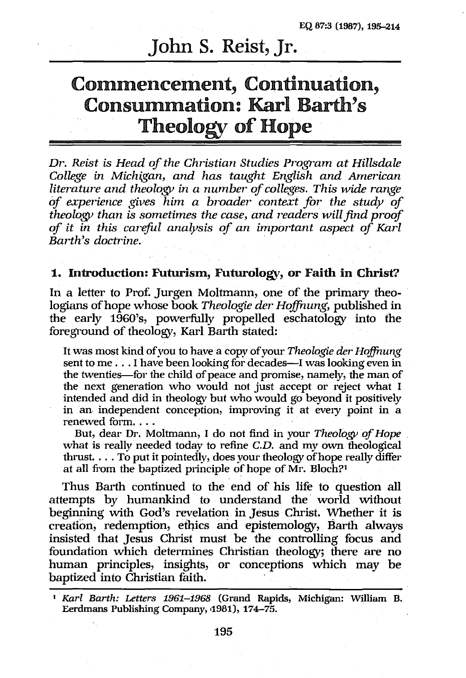# John S. Reist, Jr.

# Commencement, Continuation, Consummation: Karl Barth's Theology of Hope

*Dr. Reist is Head of the Christian Studies Program at Hillsdale College in Michigan, and has taught English and American literature and theology in a number of colleges. This wide range of experience gives him a broader' context for the study of theology than is sometimes the case, and readers* will *find proof of it in this careful analysis of an important aspect of Karl Barth's doctrine.* 

# 1. Introduction: Futurism, Futurology, or Faith in Christ?

In a letter to Prof. Jurgen Moltmann, one of the primary theologians of hope whose book *Theologie der Hoffnung*, published in the early 1960's, powerfully propelled eschatology into the foreground of theology, Karl Barth stated:

It was most kind of you to have a copy of your *Theologie der Hoffnung* sent to me . . . I have been looking for decades-I was looking even in the twenties-for the child of peace and promise, namely, the man of the next generation who would not just accept or reject what I intended and did in theology but who would go beyond it positively in an independent conception, improving it at every point in a renewed form...

But, dear Dr. Moltmann, I do not find in your *Theology of Hope*  what is really needed today to refine *C.D.* and my own theological thrust. ... To put it pointedly, does your theology of hope really differ at all from the baptized principle of hope of  $\text{Mr. Bloch}$ ?<sup>1</sup>

Thus Barth continued to the end of his life to question all attempts by humankind to understand the world without beginning with God's revelation in Jesus Christ. Whether it is creation, redemption, ethics and epistemology, Barth always insisted that Jesus Christ must be the controlling focus and foundation which determines Christian theology; there are no human principles, insights, or conceptions which may be baptized into Christian faith.

<sup>1</sup>*Karl Barth: Letters* 1961-1968 (Grand Rapids, Michigan: William B. Eerdmans Publishing Company, 1981), 174-75.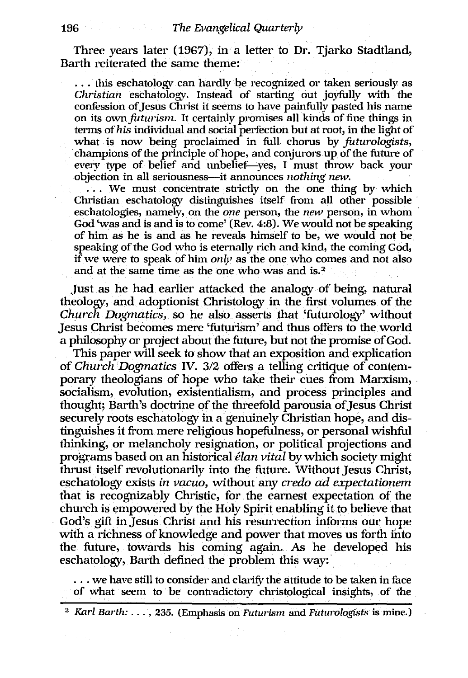Three years later (1967), in a letter to Dr. Tjarko Stadtland, Barth reiterated the same theme:

... this eschatology can hardly be recognized or taken seriously as *Christian* eschatology. Instead of starting out joyfully with the confession of Jesus Christ it seems to have painfully pasted his name on its own *futurism*. It certainly promises all kinds of fine things in terms of *his* individual and social perfection but at root, in the light of what is now being proclaimed in full chorus by *futurologists*, champions of the principle of hope, and conjurors up of the future of every type of belief and unbelief-yes. I must throw back your objection in all seriousness--it announces *nothing new*.

 $\ldots$  We must concentrate strictly on the one thing by which Christian eschatology distinguishes itself from all other possible . eschatologies, namely, on the *orze* person, the *new* person, in whom God 'was and is and is to come' (Rev. 4:8). We would not be speaking of him as he is and as he reveals himself to be, we would not be speaking of the God who is eternally rich and kind, the coming God, if we were to speak of him *only* as the one who comes and not also and at the same time as the one who was and is. $2^{\circ}$ 

Just as he had earlier attacked the analogy of being, natural theology, and adoptionist Christology in the first volumes of the *Church Dogmatics,* so he· also asserts that 'futurology' without Jesus Christ becomes mere 'futurism' and thus offers to the world a philosophy or project about the future, but not the promise of God.

This paper will seek to show that an exposition and explication of *Church Dogmatics* IV. 3/2 offers a telling critique of contemporary theologians of hope who take their cues from Marxism, socialism, evolution, existentialism, and process principles and thought; Barth's doctrine of the threefold parousia of Jesus Christ securely roots eschatology in a genuinely Christian hope, and distinguishes it from mere religious hopefulness, or personal wishful thinking, or melancholy resignation, or political projections and programs based on an historical *elan vital* by which society might thrust itself revolutionarily into the future. Without Jesus Christ, eschatology exists *in vacuo,* without any *credo* ad *expectationem*  that is recognizably Christic, for the earnest expectation of the church is empowered by the Holy Spirit enabling it to believe that God's gift inJesus Christ and his resurrection informs our hope with a richness of knowledge and power that moves us forth into the future, towards his coming again. As he developed his eschatology, Barth defined the problem this way:

 $\ldots$  we have still to consider and clarify the attitude to be taken in face of what seem to be contradictory christological insights, of the

<sup>2</sup> *Karl Barth:* ..., 235. (Emphasis on *Futurism* and *Futurologists* is mine.)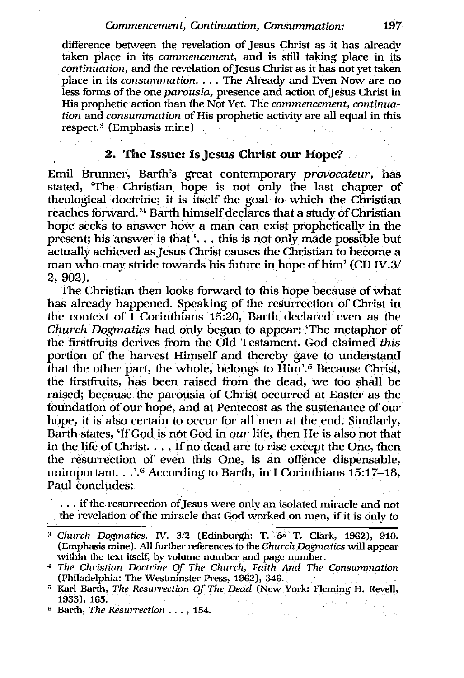#### *Commencement, Continuation, Consummation: 197*

.difference between the revelation of Jesus Christ as it has already taken place in its *commencement,* and is still taking place in its *continuation, and the revelation of Jesus Christ as it has not yet taken* place in its *consummation .* ... The Already and Even Now are no less forms of the one *parousia*, presence and action of Jesus Christ in His prophetic action than the Not Yet. The *commencement, continuation* and *consummation* of His prophetic activity are all equal in this respect.<sup>3</sup> (Emphasis mine)

# 2. The Issue: Is Jesus Christ our Hope?

Emil Brunner, Barth's great contemporary *provocateur,* has stated, 'The Christian hope is not only the last chapter of theological doctrine; it is itself the goal to which the Christian reaches forward.<sup>34</sup> Barth himself declares that a study of Christian hope seeks to answer how a man can exist prophetically in the present; his answer is that  $\langle \ldots \rangle$  this is not only made possible but actually achieved as Jesus Christ causes the Christian to become a man who may stride towards his future in hope of him' (CD IV.3/ 2,902).

The Christian then looks forward to this hope because of what has already happened. Speaking of the resurrection of Christ in the context of I Corinthians 15:20, Barth declared even as the *Church Dogmatics* had only begun to appear: 'The metaphor of the firstfiuits derives from the Old Testament. God claimed *this*  portion of the harvest Himself and thereby gave to understand that the other part, the whole, belongs to Him'.5 Because Christ, the firstfiuits, has been raised from the dead, we too shall be raised; because the parousia of Christ occurred at Easter as the foundation of our hope, and at Pentecost as the sustenance of our hope, it is also certain to occur for all men at the end. Similarly, Barth states, 'If God is not God in *our* life, then He is also not that in the life of Christ. ... If no dead are to rise except the One, then the resurrection of even this One, is an offence dispensable, unimportant. .. '.6 According to Barth, in I Corinthians 15:17-18, Paul concludes:

... if the resurrection of Jesus were only an isolated miracle and not the revelation of the miracle that God worked on men, if it is only to

- 東京 - 大学のように南京語で

(; Barth, *The ReswTection* ... , 154.

<sup>&</sup>lt;sup>3</sup> Church Dogmatics. IV. 3/2 (Edinburgh: T. & T. Clark, 1962), 910. (Emphasis mine). All further references to the *Chw'chDogmatics* will appear within the text itself, by volume number and page number.

<sup>&</sup>lt;sup>4</sup> The Christian Doctrine Of The Church, Faith And The Consummation (Philadelphia: The Westminster Press, 1962), 346.

<sup>&</sup>lt;sup>5</sup> Karl Barth, *The Resurrection Of The Dead* (New York: Fleming H. Revell, 1933),165.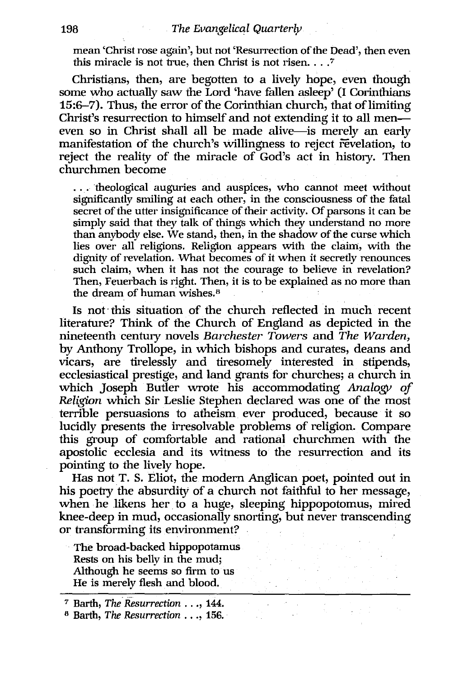mean 'Christ rose again', but not 'Resurrection of the Dead', then even this miracle is not true, then Christ is not risen.  $\ldots$ .

Christians, then, are begotten to a lively hope, even though some who actually saw the Lord 'have fallen asleep' (I Corinthians 15:6-7). Thus, the error of the Corinthian church, that of limiting Christ's resurrection to himself and not extending it to all meneven so in Christ shall all be made alive-is merely an early manifestation of the church's willingness to reject revelation, to reject the reality of the miracle of God's act in history. Then churchmen become

... 'theological auguries and auspices, who cannot meet without significantly smiling at each other, in the consciousness of the fatal secret of the utter insignificance of their activity. Of parsons it can be simply said that they talk of things which they understand no more than anybody else. We stand, then, in the shadow of the curse which lies over all religions. Religion appears with the claim, with the dignity of revelation. What becomes of it when it secretly renounces such claim, when it has not the courage to believe in revelation? Then, Feuerbach is right. Then, it is to be explained as no more than the dream of human wishes.<sup>8</sup>

Is not' this situation of the church reflected in much recent literature? Think of the Church of England as depicted in the nineteenth century novels *Barchester Towers* and *The Warden,*  by Anthony Trollope, in which bishops and curates, deans and vicars, are tirelessly and tiresomely interested in stipends, ecclesiastical prestige, and land grants for churches; a church in which Joseph Butler wrote his accommodating *Analogy of Religion* which Sir Leslie Stephen declared was one of the most terrible persuasions to atheism ever produced, because it so lucidly presents the irresolvable problems of religion. Compare this group of comfortable and rational churchmen with the apostolic ecclesia and its witness to the resurrection and its pointing to the lively hope.

Has not T. S. Eliot, the modern Anglican poet, pointed out in his poetry the absurdity of a church not faithful to her message, when he likens her to a huge, sleeping hippopotomus, mired knee-deep in mud, occasionally snorting, but never transcending or transforming its environment?

The broad-backed hippopotamus Rests on his belly in the mud; Although he seems so firm to us He is merely flesh and blood.

<sup>7</sup>Barth, *The'Resurrection* ... , 144.

<sup>&</sup>lt;sup>8</sup> Barth, *The Resurrection* . . ., 156.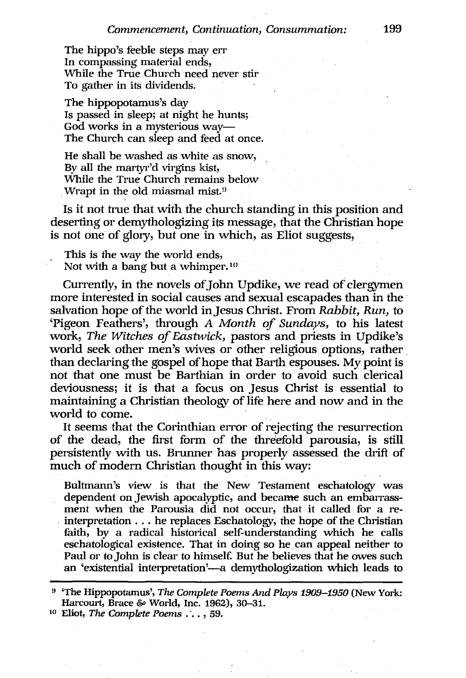The hippo's feeble steps may err In compassing material ends, While the True Church need never stir To gather in its dividends.

The hippopotamus's day Is passed in sleep; at night he hunts; God works in a mysterious way-The Church can sleep and feed at once.

He shall be washed as white as snow, By all the martyr'd virgins kist, While the True Church remains below Wrapt in the old miasmal mist.<sup>9</sup>

Is it not true that with the church standing in this position and deserting or demythologizing its message, that the Christian hope is not one of glory, but one in which, as Eliot suggests,

This is the way the world ends, Not with a bang but a whimper.<sup>10</sup>

Currently, in the novels of John Updike, we read of clergymen more interested in social causes and sexual escapades than in the salvation hope of the world inJesus Christ. From *Rabbit, Run,* to 'Pigeon Feathers', through A *Month of Sundays,* to his latest work, *The Witches of Eastwick,* pastors and priests in Updike's world seek other men's wives or other religious options, rather. than declaring the gospel of hope that Barth espouses. My point is not that one must be Barthian in order to avoid such clerical deviousness; it is that a focus on Jesus Christ is essential to maintaining a Christian theology of life here and now and in the world to come.

It seems that the Corinthian error of rejecting the resurrection of the dead, the first form of the threefold parousia, is still persistently with us. Brunner has properly assessed the drift of much of modern Christian thought in this way:

Bultmann's view is that the New Testament eschatology was dependent on Jewish apocalyptic, and became such an embarrassment when the Parousia did not occur, that it called for a reinterpretation ... he replaces Eschatology, the hope of the Christian faith, by a radical historical self-understanding which he calls eschatological existence. That in doing so he. can appeal neither to Paul or to John is clear to himself. But he believes that he owes such an 'existential interpretation'—a demythologization which leads to

<sup>9</sup>'The Hippopotamus', *The Complete Poems And Plays 1909-1950* (New York: Harcourt, Brace & World, Inc. 1962), 30-31.

<sup>10</sup> Eliot, *The Complete Poems.* -.. , 59.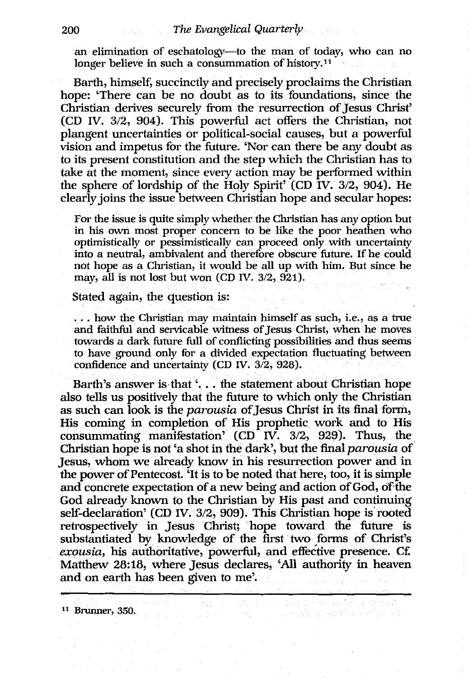an elimination of eschatology--to the man of today, who can no longer believe in such a consummation of history.<sup>11</sup>

Barth, himself, succinctly and precisely proclaims the Christian hope: 'There can be no doubt as to its foundations, since the Christian derives securely from the resurrection of Jesus Christ' (CD IV. 3/2, 904). This powerful act offers the Christian, not plangent uncertainties or political-social causes, but a powerful vision and impetus for the future. 'Nor can there be any doubt as to its present constitution and the step which the Christian has to take at the moment, since every action may be performed within the sphere of lordship of the Holy Spirit' (CD IV. 3/2, 904). He clearly joins the issue between Christian hope and secular hopes:

For the issue is quite simply whether the Christian has any option but in his own most proper concern to be like the poor heathen who optimistically or pessimistically can proceed only with uncertainty into a neutral, ambivalent and therefore obscure future. If he could not hope as a Christian, it would be all up with him. But since he may, all is not lost but won (CD IV. 3/2, 921).

#### Stated again, the question is:

... how the Christian may maintain himself as such, i.e., as a true and faithful and servicable witness of Jesus Christ, when he moves towards a dark future full of conflicting possibilities and thus seems to have ground only for a divided expectation fluctuating between confidence and uncertainty (CD IV.  $3/2$ , 928).

Barth's answer is that '... the statement about Christian hope also tells us positively that the future to which only the Christian as such can look is the *pamusia* ofJesus Christ in its final form, His coming in completion of His prophetic work and to His consummating manifestation'  $(CD^T IV. 3/2, 929)$ . Thus, the Christian hope is not 'a shot in the dark', but the final *pamusia* of Jesus, whom we already know in his resurrection power and in the power of Pentecost. 'It is to be noted that here, too, it is simple and concrete expectation of a new being and action of God, of the God already known to the Christian by His past and continuing self-declaration' (CD IV. 3/2, 909). This Christian hope is rooted retrospectively in Jesus Christ; hope toward the future is substantiated by knowledge of the first two forms of Christ's *exousia,* his authoritative, powerful, and effective presence. Ct: Matthew 28:18, where Jesus declares, 'All authority in heaven and on earth has been given to me'.

a series and the collection

11 Brunner, 350.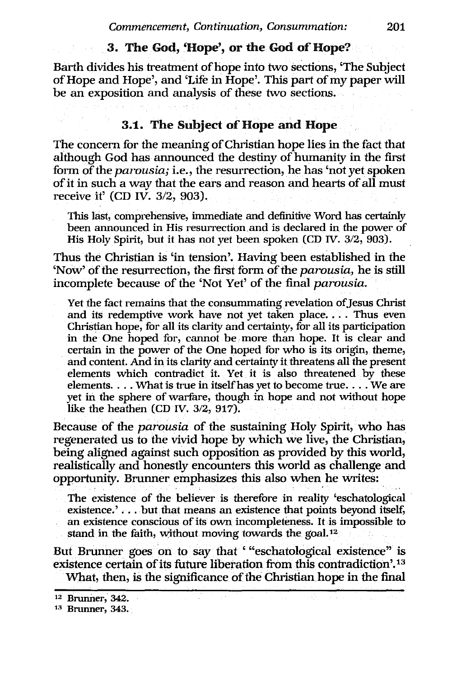# 3. The God, 'Hope', or the God of Hope?

Barth divides his treatment of hope into two sections, 'The Subject of Hope and Hope', and 'Life in Hope'. This part of my paper will be an exposition and analysis of these two sections.

# 3.1. The Subject of Hope and Hope

The concern for the meaning of Christian hope lies in the fact that although God has announced the destiny of humanity in the first form of the *parousia;* i.e., the resurrection, he has 'not yet spoken of it in such a way that the ears and reason and hearts of all must receive it' (CD IV. 3/2, 903).

This last, comprehensive, immediate and definitive Word has certainly been announced in His resurrection. and is declared in the power of His Holy Spirit, but it has not yet been spoken (CD *W.* 3/2,903).

Thus the Christian is 'in tension'. Having been established in the 'Now' of the resurrection, the first form of the *parousia*, he is still incomplete because of the 'Not Yet' of the final *parousia*.

Yet the fact remains that the consummating revelation of Jesus Christ and its redemptive work have not yet taken place. . . . Thus even Christian hope, for all its clarity and certainty, for all its participation in the One hoped for, cannot be more than hope. It is clear and certain in the power of the One hoped for who is its origin, theme, and content. And in its clarity and certainty it threatens all the present elements which contradict it. Yet it is also threatened by these elements.  $\dots$  . What is true in itself has yet to become true  $\dots$  . We are yet in the sphere of warfare, though in hope and not without hope like the heathen (CD IV. *3/2, 917).* 

Because of the *parousia* of the sustaining Holy Spirit, who has regenerated us to the vivid hope by which we live, the Christian, being aligned against such opposition as provided by this world, realistically and honestly encounters this world as challenge and opportunity. Brunner emphasizes this also when he writes:

The existence of the believer is therefore in reality 'eschatological existence.' ... but that means an existence that points beyond itself, an existence conscious of its own incompleteness. It is impossible to stand in the faith, without moving towards the goal. 12

But Brunner goes on to say that '''eschatological existence" is existence certain of its future liberation from this contradiction'.<sup>13</sup> What, then, is the significance of the Christian hope in the final

<sup>12</sup> Brunner, 342.

<sup>13</sup> Brunner, 343.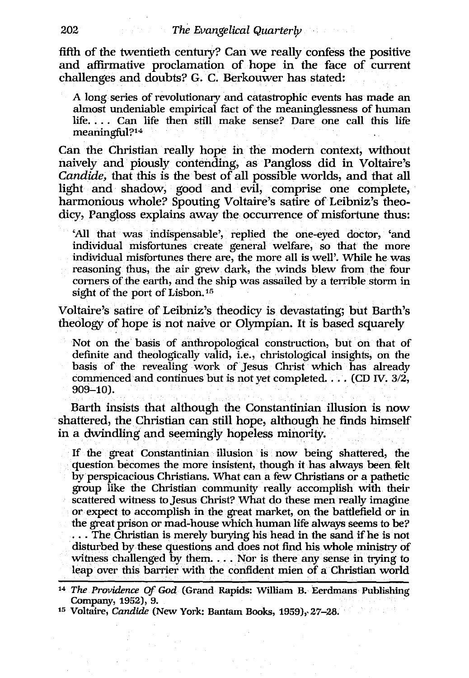fifth of the twentieth century? Can we really confess the positive and affirmative proclamation of hope in the face of current challenges and doubts? G. C. Berkouwer has stated:

A long series of revolutionary and catastrophic events has made an almost undeniable empirical fact of the meaninglessness of human life. . .. Can life then still make sense? Dare one call this life meaningful?14

Can the Christian really hope in the modern context, without naively and piously contending, as Pangloss did in Voltaire's *Candide,* that this is the best of all possible worlds, and that all light and shadow, good and evil, comprise one complete, harmonious whole? Spouting Voltaire's satire of Leibniz's theodicy, Pangloss explains away the occurrence of misfortune thus:

'All that was indispensable', replied the one-eyed doctor, 'and individual misfortunes create general welfare, so that the more individual misfortunes there are, the more all is well'. While he was reasoning thus, the air grew dark, the winds blew from the four corners of the earth, and the ship was assailed by a terrible storm in sight of the port of Lisbon. 15

Voltaire's satire of Leibniz's theodicy is devastating; but Barth's theology of hope is not naive or Olympian. It is based squarely

Not on the basis of anthropological construction, but on that of definite and theologically valid, i.e., christological insights, on the basis of the revealing work of Jesus Christ which has already commenced and continues but is not yet completed.... (CD IV.  $3/2$ , 909-10).

Barth insists that although the Constantinian illusion is now shattered, the Christian can still hope, although he finds himself in a dwindling and seemingly hopeless minority.

If the great Constantinian illusion is now being shattered, the question becomes the more insistent, though it has always been felt by perspicacious Christians. What can a few Christians or a pathetic group like the Christian community really accomplish with their scattered witness to Jesus Christ? What do these men really imagine or expect to accomplish in the great market, on the battlefield or in the great prison or mad-house which human life always seems to be? ... The Christian is merely burying his head in the sand if he is not

disturbed by these questions and does not find his whole ministry of witness challenged by them.  $\dots$  Nor is there any sense in trying to leap over this barrier with the confident mien of a Christian world

<sup>15</sup> Voltaire, *Candide* (New York: Bantam Books, 1959), 27-28.

*<sup>14</sup> The Providence* Of *God* (Grand Rapids: William B. Eerdmans Publishing Company, 1952), 9.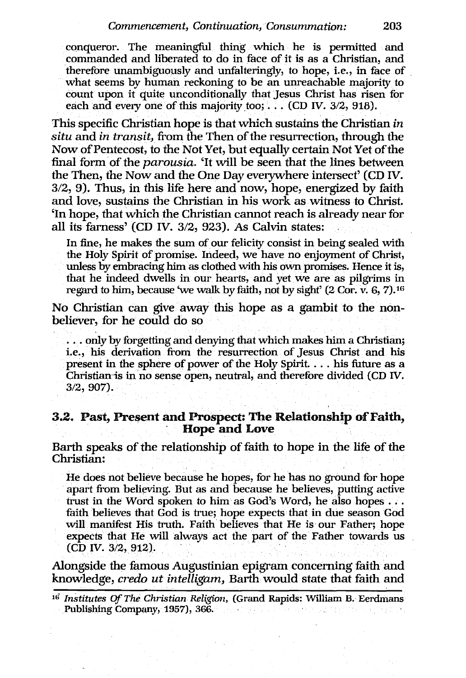conqueror. The meaningful thing which he is permitted and commanded and liberated to do in face of it is as a Christian, and therefore unambiguously and unfalteringly, to hope, i.e., in face of . what seems by human reckoning to be an unreachable majority to count upon it quite unconditionally that Jesus Christ has risen for each and every one of this majority too;  $\dots$  (CD IV. 3/2, 918).

This specific Christian hope is that which sustains the Christian *in situ* and *in transit,* from the Then of the resurrection, through the Now of Pentecost, to the Not Yet, but equally certain Not Yet of the final form of the *parousia.* 'It will be seen that the lines between the Then, the Now and the One Day everywhere intersect' (CD IV.  $3/2$ , 9). Thus, in this life here and now, hope, energized by faith and love, sustains the Christian in his work as witness to Christ. 'In hope, that which the Christian cannot reach is already near for all its farness' (CD IV. 3/2, 923). As Calvin states:

In fine, he makes the sum of our felicity consist in being sealed with the Holy Spirit of promise. Indeed, we have no enjoyment of Christ, uriless by embracing him as clothed with his own promises. Hence it is, that he indeed dwells in our hearts, and yet we are as pilgrims in regard to him, because 'we walk by faith, not by sight' (2 Cor. v. 6, 7).16

No Christian can give away this hope as a gambit to the nonbeliever, for he could do so

... orily by forgetting and denying that which makes him a Christian; i.e., his derivation from the resurrection of Jesus Christ and his present in the sphere of power of the Holy Spirit. . . . his future as a Christian-is in no sense open, neutral, and therefore divided (CD IV. 3/2,907).

# 3.2. Past, Present and Prospect: The Relationship of Faith,<br>Hope and Love

Barth speaks of the relationship of faith to hope in the life of the Christian:

He does not believe because he hopes, for he has no ground for hope apart from believing. But as and because he believes, putting active trust in the Word spoken to him as God's Word, he also hopes ... faith believes that God is true; hope expects that in due season God will manifest His truth. Faith believes that He is our Father; hope expects that He will always act the part of the Father towards us (CD IV. 3/2, 912).

Alongside the famous Augustinian epigram concerning faith and knowledge, *credo ut intelligam,* Barth would state that faith and

<sup>&</sup>lt;sup>16</sup> Institutes Of The Christian Religion, (Grand Rapids: William B. Eerdmans Publishing Company, 1957), 366.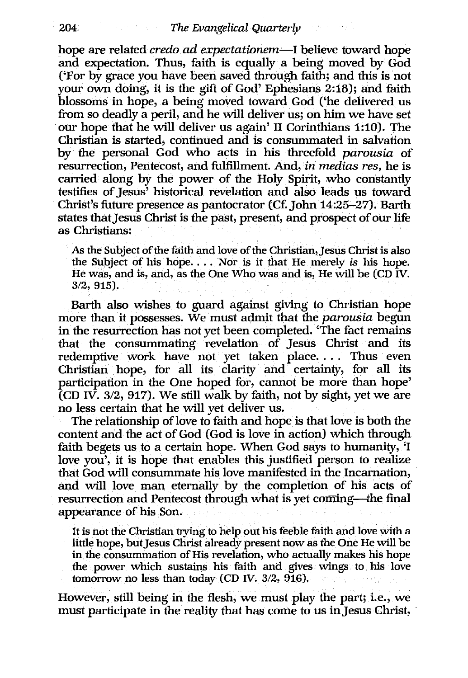hope are related *credo* ad *expectatinnem-I* believe toward hope and expectation. Thus, faith is equally a being moved by God ('For by grace you have been saved through faith; and this is not your own doing, it is the gift of God' Ephesians 2:18); and faith blossoms in hope, a being moved toward God ('he delivered us from so deadly a peril, and he will deliver us; on him we have set our hope that he will deliver us again' 11 Corinthians 1:10). The Christian is started, continued and is consummated in salvation by the personal God who acts in his threefold *parousia* of resurrection, Pentecost, and fulfillment. And, *in medias res,* he is carried along by the power of the Holy Spirit, who constantly testifies of Jesus' historical revelation and also leads us toward Christ's future presence as pantocrator (Cf. John 14:25-27). Barth states that Jesus Christ is the past, present, and prospect of our life as Christians:

As the Subject of the faith and love of the Christian, Jesus Christ is also the Subject of his hope. . . . Nor is it that He merely *is* his hope. He was, and is, and, as the One Who was and is, He will be (CD IV. 3/2, 915).

Barth also wishes to guard against giving to Christian hope more than it possesses. We must admit that the *parousia* begun in the resurrection has not yet been completed. 'The fact remains that the consummating revelation of Jesus Christ and its redemptive work have not yet taken place.... Thus even Christian hope, for all its clarity and certainty, for all its participation in the One hoped for, cannot be more than hope' (CD IV. *3/2,* 917). We still walk by faith, not by sight, yet we are no less certain that he will yet deliver us.

The relationship of love to faith and hope is that love is both the content and the act of God (God is love in action) which through faith begets us to a certain hope. When God says to humanity, 'I love you', it is hope that enables this justified person to realize that God will consummate his love manifested in the Incarnation, and will love man eternally by the completion of his acts of resurrection and Pentecost through what is yet coming-the final appearance of his Son.

It is not the Christian trying to help out his feeble faith and love with a little hope, but Jesus Christ already present now as the One He will be in the consummation of His revelation, who actually makes his hope the power which sustains his faith and gives wings to his love tomorrow no less than today (CD IV. 3/2, 916).

However, still being in the flesh, we must play the part; i.e., we must participate in the reality that has come to us in Jesus Christ,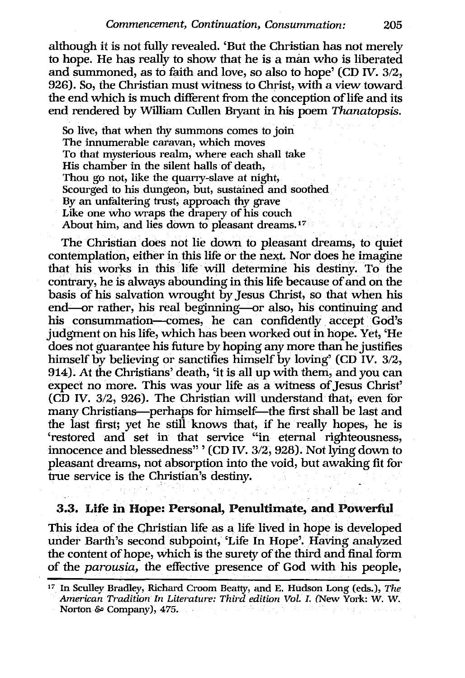although it is not fully revealed. 'But the Christian has not merely to hope. He has really to show that he is a man who is liberated and summoned, as to faith and love, so also to hope' (CD IV. 3/2, 926). So, the Christian must witness to Christ, with a view toward the end which is much different from the conception of life and its end rendered by William Cullen Bryant in his poem *Thanatopsis.* 

So live, that when thy summons comes to join The innumerable caravan, which moves To that mysterious realm, where each shall take His chamber in the silent halls of death, Thou go not, like the quarry-slave at night, Scourged to his dungeon, but, sustained and soothed By an unfaltering trust, approach thy grave Like one who wraps the drapery of his couch About him, and lies down to pleasant dreams.<sup>17</sup>

The Christian does not lie down to pleasant dreams, to quiet contemplation, either in this life or the next. Nor does he imagine that his works in this life· will determine his destiny. To the contrary, he is always abounding in this life because of and on the basis of his salvation wrought by Jesus Christ, so that when his end--or rather, his real beginning--or also, his continuing and his consummation-comes, he can confidently accept God's judgment on his life, which has been worked out in hope. Yet, 'He does not guarantee his future by hoping any more than he justifies himself by believing or sanctifies himself by loving' (CD IV. 3/2, 914). At the Christians' death, 'it is all up with them, and you can expect no more. This was your life as a witness of Jesus Christ' (CD IV. 3/2, 926). The Christian will understand that, even for many Christians-perhaps for himself-the first shall be last and the last first; yet he still knows that, if he really hopes, he is 'restored and set in that service "in eternal righteousness, innocence and blessedness" , (CD IV. 3/2, 928). *Not* lying down to pleasant dreams, not absorption into the void, but awaking fit for true service is the Christian's destiny.

#### 3.3. Life in Hope: Personal, Penultimate, and Powerful

This idea of the Christian life as a life lived in hope is developed under Barth's second subpoint; 'Life In Hope'. Having analyzed the content of hope, which is the surety of the third and final form of the *parousia,* the effective presence of God with his people,

<sup>17</sup> In Sculley Bradley, Richard Croom Beatty, and E. Hudson Long (eds.), *The American Tradition In Litemture: Thi"d edition Vol. I.* (New York: w. w. Norton & Company), 475.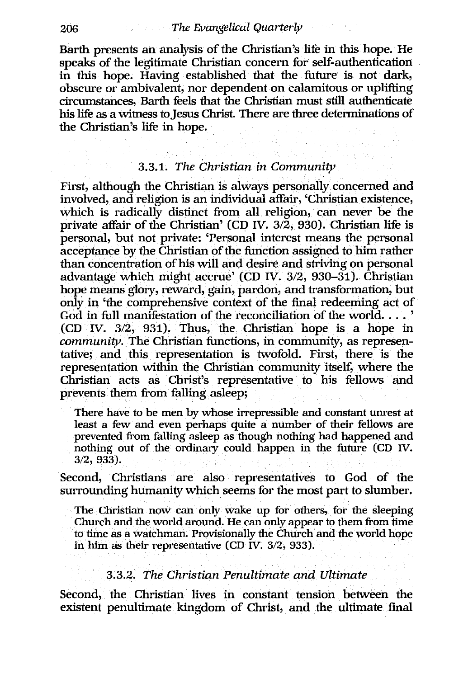#### 206 *The Evangelical Quarterly*

Barth presents an analysis of the Christian's life in this hope. He speaks of the legitimate Christian concern for self-authentication in this hope. Having established that the future is not dark, obscure or ambivalent, nor dependent on calamitous or uplifting circumstances, Barth feels that the Christian must still authenticate his life as a witness to Jesus Christ. There are three determinations of the Christian's life in hope.

#### *3.3.1. The Christian in Community*

First, although the Christian is always personally concerned and involved, and religion is an individual affair, 'Christian existence, which is radically distinct from all religion, can never be the private affair of the Christian' (CD IV. 3/2, 930). Christian life is personal, but not private: 'Personal interest means the personal acceptance by the Christian of the function assigned to him rather than concentration of his will and desire and striving on personal advantage which might accrue' (CD IV. 3/2, 930-31). Christian hope means glory, reward, gain, pardon, and transformation, but only in 'the comprehensive context of the final redeeming act of God in full manifestation of the reconciliation of the world....' (CD IV. 3/2, 931). Thus, the Christian hope is a hope in *community.* The Christian functions, in community, as representative; and this representation is twofold. First, there is the representation within the Christian community itself, where the Christian acts as Christ's representative to his fellows and prevents them from falling asleep;

There have to be men by whose irrepressible and constant unrest at least a few and even perhaps quite a number of their fellows are prevented from falling asleep as though nothing had happened and nothing out of the ordinary could happen in the future (CD IV. *3/2,933).* 

Second, Christians are also representatives to God of the surrounding humanity which seems for the most part to slumber.

The Christian now can only wake up for others, for the sleeping Church and the world around. He can only appear to them from time to time as a watchman. Provisionally the Church and the world hope in him as their representative (CD IV. *3/2, 933).* 

### *3.3.2. The Christian Penultimate and Ultimate*

Second, the Christian lives in constant tension between the existent penultimate kingdom of Christ, and the ultimate final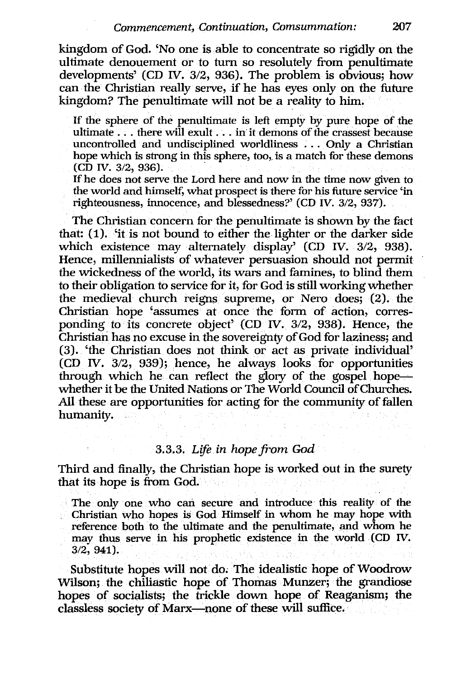kingdom of God. 'No one is able to concentrate so rigidly on the ultimate denouement or to turn so resolutely from penultimate developments' (CD IV. 3/2, 936). The problem is obvious; how can the Christian real1y serve, if he has eyes only on the future kingdom? The penultimate will not be a reality to him.

If the sphere of the penultimate is left empty by pure hope of the ultimate . . . there will exult . . . in it demons of the crassest because uncontrolled and undisciplined worldliness . . . Only a Christian hope which is strong in this sphere, too, is a match for these demons (CD IV. 3/2, 936).

If he does not serve the Lord here and now in the time now given to the world and himself, what prospect is there for his future service 'in righteousness, innocence, and blessedness?' (CD IV. 3/2, 937).

The Christian concern for the penultimate is shown by the fact that: (1). 'it is not bound to either the lighter or the darker side which existence may alternately display' (CD IV. 3/2, 938). Hence, millennialists of whatever persuasion should not permit the wickedness of the world, its wars and famines, to blind them to their obligation to service for it, for God is still working whether the medieval church reigns supreme, or Nero does; (2). the Christian hope 'assumes at once the form of action, corresponding to its concrete object' (CD IV. 3/2, 938). Hence, the Christian has no excuse in the sovereignty of God for laziness; and (3). 'the Christian does not think or act as private individual' (CD IV. 3/2, 939); hence, he always looks for opportunities through which he can reflect the glory of the gospel hopewhether it be the United Nations or The World Council of Churches. All these are opportunities for acting for the community of fallen humanity.

# *3.3.3. Life in hope from God*

Third and finally, the Christian hope is worked out in the surety that its hope is from God.

The only one who can secure and introduce this reality of the Christian who hopes is God Himself in whom he may hope with reference both to the ultimate and the penultimate, and whom he may thus serve in his prophetic existence in the world (CD IV. 3/2,941).

Substitute hopes will not do; The idealistic hope of Woodrow Wilson; the chiliastic hope of Thomas Munzer; the grandiose hopes of socialists; the trickle down hope of Reaganism; the classless society of Marx-none of these will suffice.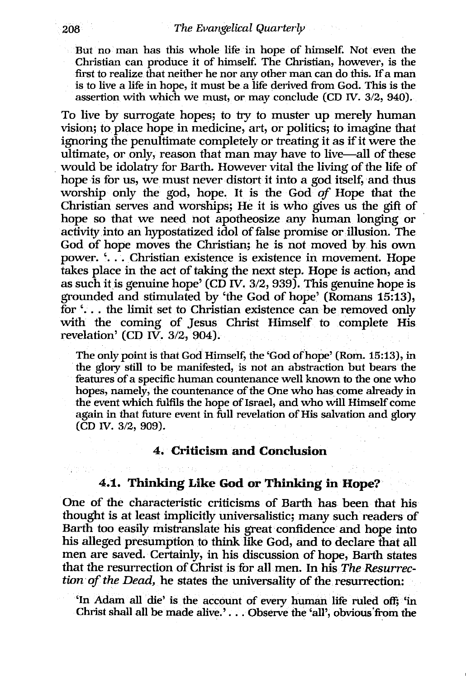But no man has this whole life in hope of himself. Not even the Christian can produce it of himself. The Christian, however, is the first to realize that neither he nor any other man can do this. If a man is to live a life in hope, it must be a life derived from God. This is the assertion with which we must, or may conclude (CD *W.* 3/2, 940).

To live by surrogate hopes; to *try* to muster up merely human vision; to place hope in medicine, art, or politics; to imagine that ignoring the penultimate completely or treating it as if it were the ultimate, or only, reason that man may have to live-all of these . would be idolatry for Barth. However vital the living of the life of hope is for us, we must never distort it into a god itself, and thus worship only the god, hope. It is the God *of* Hope that the Christian serves and worships; He it is who gives us the gift of hope so that we need not apotheosize any human longing or activity into an hypostatized idol of false promise or illusion. The God of hope moves the Christian; he is not moved by his own power. '. . . Christian existence is existence in movement. Hope takes place in the act of taking the next step. Hope is action, and as such it is genuine hope' (CD IV,  $3/2$ , 939). This genuine hope is grounded and stimulated by 'the God of hope' (Romans 15:13), for'. . . the limit set to Christian existence can be removed only with the coming of Jesus Christ Himself to complete His revelation' (CD IV.  $3/2$ , 904).

The only point is that God Himself, the 'God of hope' (Rom. 15:13), in the glory still to be manifested, is not an abstraction but bears the features of a specific human countenance well known to the one who hopes, namely, the countenance of the One who has come already in the event which fulfils the hope of Israel, and who will Himself come again in that future event in full revelation of His salvation and glory (CD *W.* 3/2, 909).

### 4. Criticism and Conclusion

# 4.1. Thinking Like God or Thinking in Hope?

One of the characteristic criticisms of Barth has been that his thought is at least implicitly universalistic; many such readers of Barth *too* easily mistranslate his great confidence and hope into his alleged presumption to think like God, and to declare that all men are saved. Certainly, in his discussion of hope, Barth states that the resurrection of Christ is for all men. In his *The Resurrection of the Dead, he states the universality of the resurrection:* 

'In Adam all die' is the account of every human life ruled off; 'in Christ shall all be made alive.' ... Observe the 'all', obvious'from the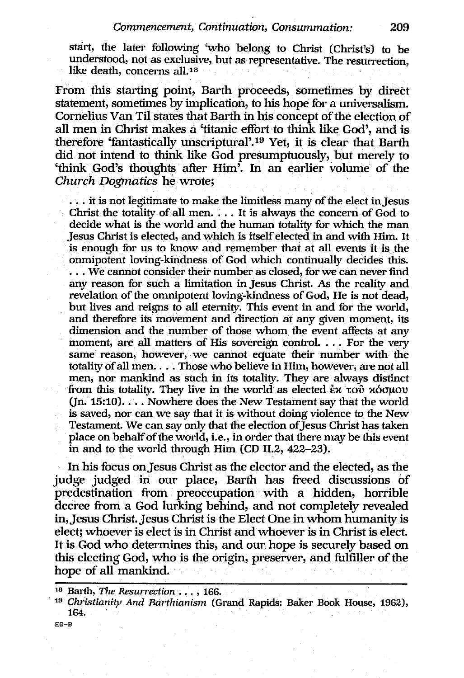start, the later following 'who belong to Christ (Christ's) to be understood, not as exclusive, but as representative. The resurrection, like death, concerns all.<sup>18</sup>

From this starting point, Barth proceeds, sometimes by direct statement, sometimes by implication, to his hope for a universalism. Cornelius Van Til states that Barth in his concept of the election of all men in Christ makes a 'titanic effort to think like God', and is therefore 'fantastically unscriptural'.19 Yet, it is clear that Barth did not intend to think like God presumptuously, but merely to 'think God's thoughts after Him'. In an earlier volume of the *Church Dogmatics* he·wrote;

... it is not legitimate to make the limitless many of the elect in Jesus Christ the totality of all men. . . . It is always the concern of God to decide what is the world and the human totality for which the man Jesus Christ is elected, and which is itself elected in and with Him. It is enough for us to know and remember that at all events it is the onmipotent loving-kindness of God which continually decides this . . . . We cannot consider their number as closed, for we can never find any reason for such a limitation in Jesus Christ. As the reality and revelation of the omnipotent loving-kindness of God, He is not dead, but lives and reigns to all eternity. This event in and for the world, and therefore its movement and direction at any given moment, its dimension and the number of those whom the event affects at any moment, are all matters of His sovereign control. ... For the very same reason, however, we cannot equate their number with the totality of all men.... Those who believe in Him, however, are not all men, nor mankind as such in its totality. They are always distinct from this totality. They live in the world as elected  $\dot{\epsilon}$  x  $\tau$ o $\dot{\upsilon}$   $\kappa$   $\dot{\upsilon}$   $\sigma$  $(In. 15:10)$ .... Nowhere does the New Testament say that the world is saved, nor can we say that it is without doing violence to the New Testament. We can say only that the election of Jesus Christ has taken place on behalf of the world, i.e., in order that there may be this event in and to the world through Him (CD 11.2, 422-23).

In his focus on Jesus Christ as the elector and the elected, as the judge judged in our place, Barth has freed discussions of predestination from preoccupation· with a hidden, horrible decree from a God lurking behind, and not completely revealed in,Jesus Christ. Jesus Christ is the Elect One in whom humanity is elect; whoever is elect is in Christ and whoever is in Christ is elect. It is God who determines this, and our hope is securely based on this electing God, who is the origin, preserver, and fulfiller of the hope of all mankind.

<sup>18</sup> Barth, *The Resurrection* ... , 166.

<sup>&</sup>lt;sup>19</sup> Christianity And Barthianism (Grand Rapids: Baker Book House, 1962), 164. .

EQ-B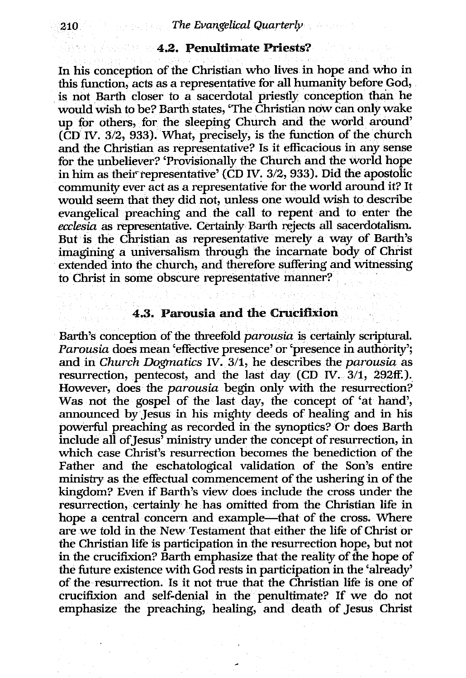# 4.2. Penultimate Priests?

In his conception of the Christian who lives in hope and who in this function, acts as a representative for all humanity before God, is not Barth closer to a sacerdotal priestly conception than he would wish to be? Barth states, 'The Christian now can only wake up for others, for the sleeping Church and the world around' (CD IV. *3/2,* 933). What, precisely, is the function of the church and the Christian as representative? Is it efficacious in any sense for the unbeliever? 'Provisionally the Church and the world hope in him as their-representative' (CD IV. *3/2,* 933). Did the apostolic community ever act as a representative for the world around it? It would seem that they did not, unless one would wish to describe evangelical preaching and the call to repent and to enter the *ecclesia* as representative. Certainly Barth rejects all sacerdotalism. But is the Christian as representative merely a way of Barth's imagining a universalism through the incarnate body of Christ extended into the church, and therefore suffering and witnessing to Christ in some obscure representative manner?

# 4.3. Parousia and the Crucifixion

Barth's conception of the threefold *parousia* is certainly scriptural. *Parousia* does mean 'effective presence' or 'presence in authority'; and in *Church Dogmatics* IV. *3/1,* he describes the *parousia* as resurrection, pentecost, and the last day (CD IV. *3/1,* 292ff.). However, does the *parousia* begin only with the resurrection? Was not the gospel of the last day, the concept of 'at hand', announced by Jesus in his mighty deeds of healing and in his powerful preaching as recorded in the synoptics? Or does Barth include all of Jesus' ministry under the concept of resurrection, in which case Christ's resurrection becomes the benediction of the Father and the eschatological validation of the Son's entire ministry as the effectual commencement of the ushering in of the kingdom? Even if Barth's view does include the cross under the resurrection, certainly he has omitted from the Christian life in hope a central concern and example-that of the cross. Where are we told in the New Testament that either the life of Christ or the Christian life is participation in the resurrection hope, but not in the crucifixion? Barth emphasize that the reality of the hope of the future existence with God rests in participation in the 'already' of the resurrection. Is it not true that the Christian life is one of crucifixion and self-denial in the penultimate? If we do not emphasize the preaching, healing, and death of Jesus Christ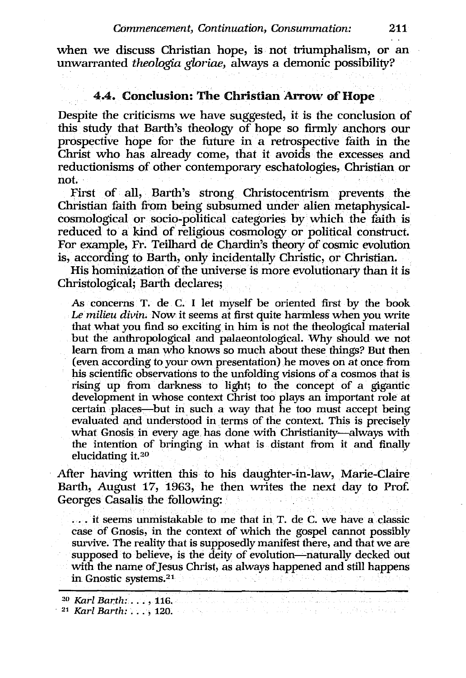when we discuss Christian hope, is not triumphalism, or an unwarranted *theologia gloriae,* always a demonic possibility?

# 4.4. Conclusion: The Christian Arrow of Hope

Despite the criticisms we have suggested, it is the conclusion of this study that Barth's theology of hope so firmly anchors our prospective hope for the future in a retrospective faith in the Christ who has already come, that it avoids the excesses and reductionisms of other contemporary eschatologies, Christian or not.

First of all, Barth's strong Christocentrism prevents the Christian faith from being subsumed under alien metaphysicalcosmological or socio-political categories by which the faith is reduced to a kind of religious cosmology or political construct. For example, Fr. Teilhard de Chardin's theory of cosmic evolution is, according to Barth, only incidentally Christic, or Christian.

His hominization of the universe is more evolutionary than it is Christological; Barth declares;

As concerns T. de C. I let myself be oriented first by the book Le milieu divin. Now it seems at first quite harmless when you write that what you find so exciting in him is not the theological material but the anthropological and palaeontological. Why should we not learn from a man who knows so much about these things? But then (even according to your own presentation) he moves on at once from his scientific observations to the unfolding visions of a cosmos that is rising up from darkness to light; to the concept of a gigantic development in whose context Christ too plays an important role at certain places-but in such a way that he too must accept being evaluated and understood in terms of the context. This is precisely what Gnosis in every age has done with Christianity-always with the intention of bringing in what is distant from it and finally elucidating it.<sup>20</sup>

After having written this to his daughter-in-law, Marie-Claire Barth, August 17, 1963, he then writes the next day to Pro£ Georges Casalis the following:

... it seems unmistakable to me that in T. de C. we have a classic case of Gnosis, in the context of which the gospel cannot possibly survive. The reality that is supposedly manifest there, and that we are supposed to believe, is the deity of evolution-naturally decked out with the name of Jesus Christ, as always happened and still happens in Gnostic systems.21

*<sup>20</sup> Karl Barth:* ... , 116 •

<sup>. 21</sup> *Karl Barth:* ... , 120.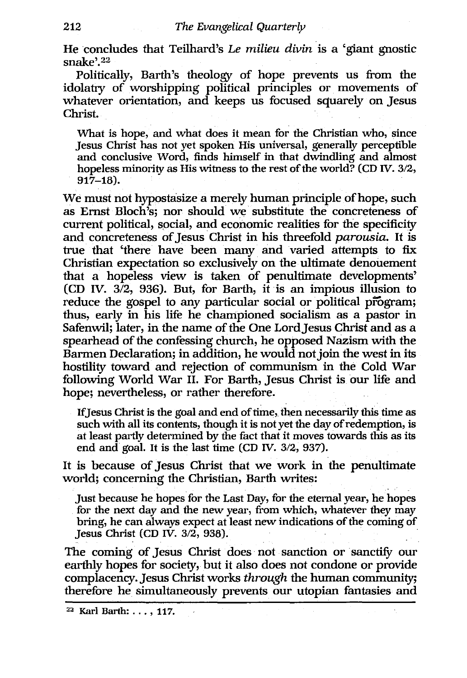He concludes that Teilhard's *Le milieu divin* is a 'giant gnostic snake'. 22

Politically, Barth's theology of hope prevents us from the idolatry of worshipping political principles or movements of whatever orientation, and keeps us focused squarely on Jesus Christ.

What is hope, and what does it mean for the Christian who, since Jesus Christ has not yet spoken His universal, generally perceptible and conclusive Word, finds himself in that dwindling and almost hopeless minority as His witness to the rest of the world? (CD *IV. 3/2,* 917-18).

We must not hypostasize a merely human principle of hope, such as Ernst Bloch's; nor should we substitute the concreteness of current political, social, and economic realities for the specificity and concreteness of Jesus Christ in his threefold *parousia.* It is true that 'there have been many and varied attempts to fix Christian expectation so exclusively on the ultimate denouement that a hopeless view is taken of penultimate developments' (CD IV. 3/2, 936). But, for Barth, it is an impious illusion to reduce the gospel to any particular social or political program; thus, early in his life he championed socialism as a pastor in Safenwil; later, in the name of the One Lord Jesus Christ and as a spearhead of the confessing church, he opposed Nazism with the Barmen Declaration; in addition, he would not join the west in its hostility toward and rejection of communism in the Cold War following World War 11. For Barth, Jesus Christ is our life and hope; nevertheless, or rather therefore.

IfJesus Christ is the goal and end of time, then necessarily this time as such with all its contents, though it is not yet the day of redemption, is at least partly determined by the fact that it moves towards this as its end and goal. It is the last time (CD *W.* 3/2, 937).

It is because of Jesus Christ that we work in the penultimate world; concerning the Christian, Barth writes:

Just because he hopes for the Last Day, for the eternal year, he hopes for the next day and the new year, from which, whatever they may bring, he can always expect at least new indications of the coming of Jesus Christ (CD IV. 3/2, 938).

The coming of Jesus Christ does not sanction or sanctify our earthly hopes for society, but it also does not condone or provide complacency. Jesus Christ works *through* the human community; therefore he simultaneously prevents our utopian fantasies and

<sup>22</sup> Karl Barth: ... , 117.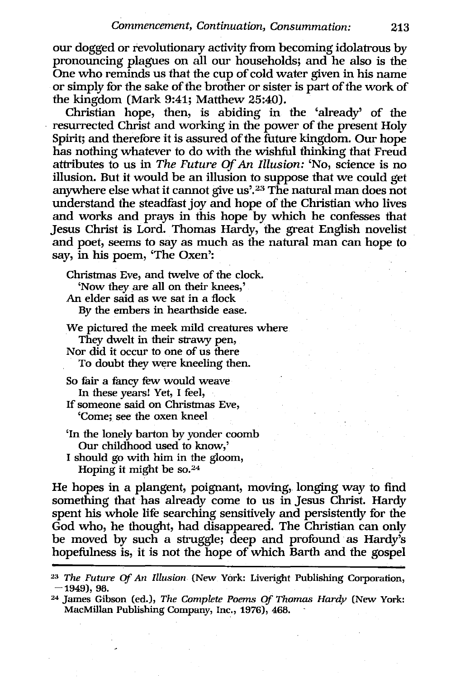our dogged or revolutionary activity from becoming idolatrous by pronouncing plagues on all our households; and he also is the One who reminds us that the cup of cold water given in his name or simply for the sake of the brother or sister is part of the work of the kingdom (Mark 9:41; Matthew 25:40).

Christian hope, then, is abiding in the 'already' of the resurrected Christ and working in the power of the present Holy Spirit; and therefore it is assured of the future kingdom. Our hope has nothing whatever to do with the wishful thinking that Freud attributes to us in *The Future* Of *An Illusion:* 'No, science is no illusion. But it would be an illusion to suppose that we could get anywhere else what it cannot give us'.<sup>23</sup> The natural man does not understand the steadfast joy and hope of the Christian who lives and works and prays in this hope by which he confesses that Jesus Christ is Lord. Thomas Hardy, the great English novelist and poet, seems to say as much as the natural man can hope to say, in his poem, 'The Oxen':

Christmas Eve, and twelve of the clock. 'Now they are all on their knees,' An elder said as we sat in a flock By the embers in hearthside ease.

We pictured the meek mild creatures where They dwelt in their strawy pen, Nor did it occur to one of us there To doubt they were kneeling then.

So fair a fancy few would weave In these years! Yet, I feel, If someone said on Christmas Eve, 'Come; see the oxen kneel

- 'In the lonely barton by yonder coomb Our childhood used to know,'
- I should go with him in the gloom, Hoping it might be so. $24$

He hopes in a plangent, poignant, moving, longing way to find something that has already come to us in Jesus Christ. Hardy spent his whole life searching sensitively and persistently for the God who, he thought, had disappeared. The Christian can only be moved by such a struggle; deep and profound as Hardy's hopefulness is, it is not the hope of which Barth and the gospel

<sup>2:!</sup> *The Futw'e* Of An *Illusion* (New York: Liveright Publishing Corporation,  $-1949$ , 98.

<sup>&</sup>lt;sup>24</sup> James Gibson (ed.), *The Complete Poems Of Thomas Hardy* (New York: MacMillan Publishing Company, Inc., 1976), 468.